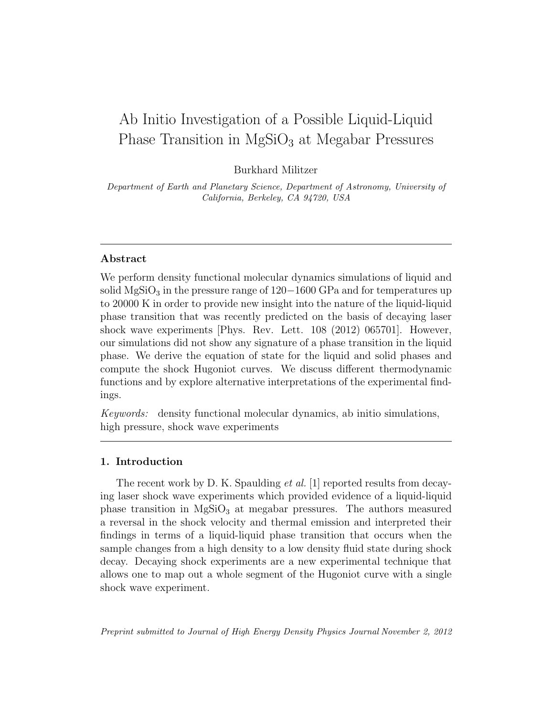# Ab Initio Investigation of a Possible Liquid-Liquid Phase Transition in  $MgSiO<sub>3</sub>$  at Megabar Pressures

Burkhard Militzer

Department of Earth and Planetary Science, Department of Astronomy, University of California, Berkeley, CA 94720, USA

## Abstract

We perform density functional molecular dynamics simulations of liquid and solid MgSiO<sub>3</sub> in the pressure range of  $120-1600$  GPa and for temperatures up to 20000 K in order to provide new insight into the nature of the liquid-liquid phase transition that was recently predicted on the basis of decaying laser shock wave experiments [Phys. Rev. Lett. 108 (2012) 065701]. However, our simulations did not show any signature of a phase transition in the liquid phase. We derive the equation of state for the liquid and solid phases and compute the shock Hugoniot curves. We discuss different thermodynamic functions and by explore alternative interpretations of the experimental findings.

Keywords: density functional molecular dynamics, ab initio simulations, high pressure, shock wave experiments

# 1. Introduction

The recent work by D. K. Spaulding *et al.* [1] reported results from decaying laser shock wave experiments which provided evidence of a liquid-liquid phase transition in  $MgSiO<sub>3</sub>$  at megabar pressures. The authors measured a reversal in the shock velocity and thermal emission and interpreted their findings in terms of a liquid-liquid phase transition that occurs when the sample changes from a high density to a low density fluid state during shock decay. Decaying shock experiments are a new experimental technique that allows one to map out a whole segment of the Hugoniot curve with a single shock wave experiment.

Preprint submitted to Journal of High Energy Density Physics Journal November 2, 2012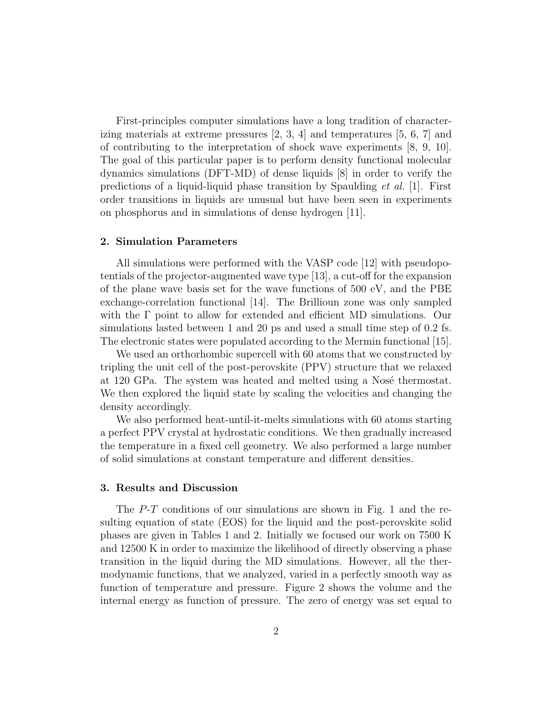First-principles computer simulations have a long tradition of characterizing materials at extreme pressures  $[2, 3, 4]$  and temperatures  $[5, 6, 7]$  and of contributing to the interpretation of shock wave experiments  $[8, 9, 10]$ . The goal of this particular paper is to perform density functional molecular dynamics simulations (DFT-MD) of dense liquids [8] in order to verify the predictions of a liquid-liquid phase transition by Spaulding *et al.* [1]. First order transitions in liquids are unusual but have been seen in experiments on phosphorus and in simulations of dense hydrogen [11].

#### 2. Simulation Parameters

All simulations were performed with the VASP code [12] with pseudopotentials of the projector-augmented wave type [13], a cut-off for the expansion of the plane wave basis set for the wave functions of 500 eV, and the PBE exchange-correlation functional [14]. The Brillioun zone was only sampled with the Γ point to allow for extended and efficient MD simulations. Our simulations lasted between 1 and 20 ps and used a small time step of 0.2 fs. The electronic states were populated according to the Mermin functional [15].

We used an orthorhombic supercell with 60 atoms that we constructed by tripling the unit cell of the post-perovskite (PPV) structure that we relaxed at 120 GPa. The system was heated and melted using a Nosé thermostat. We then explored the liquid state by scaling the velocities and changing the density accordingly.

We also performed heat-until-it-melts simulations with 60 atoms starting a perfect PPV crystal at hydrostatic conditions. We then gradually increased the temperature in a fixed cell geometry. We also performed a large number of solid simulations at constant temperature and different densities.

## 3. Results and Discussion

The P-T conditions of our simulations are shown in Fig. 1 and the resulting equation of state (EOS) for the liquid and the post-perovskite solid phases are given in Tables 1 and 2. Initially we focused our work on 7500 K and 12500 K in order to maximize the likelihood of directly observing a phase transition in the liquid during the MD simulations. However, all the thermodynamic functions, that we analyzed, varied in a perfectly smooth way as function of temperature and pressure. Figure 2 shows the volume and the internal energy as function of pressure. The zero of energy was set equal to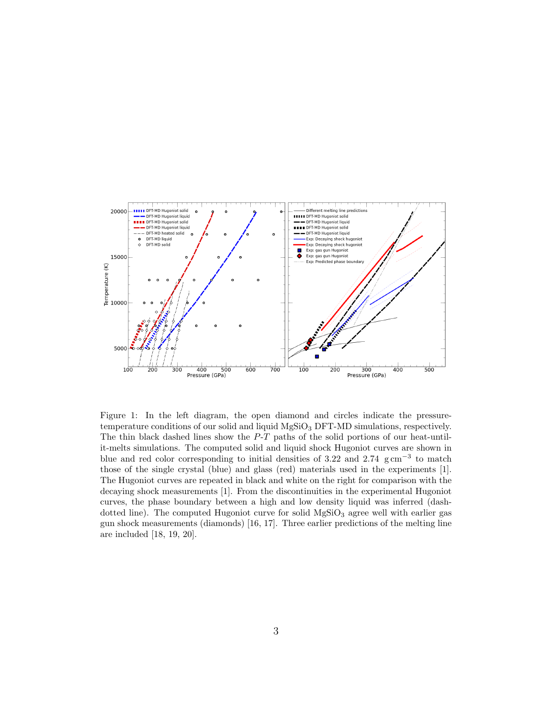

Figure 1: In the left diagram, the open diamond and circles indicate the pressuretemperature conditions of our solid and liquid  $MgSiO<sub>3</sub> DFT-MD$  simulations, respectively. The thin black dashed lines show the P-T paths of the solid portions of our heat-untilit-melts simulations. The computed solid and liquid shock Hugoniot curves are shown in blue and red color corresponding to initial densities of 3.22 and 2.74  $\text{g cm}^{-3}$  to match those of the single crystal (blue) and glass (red) materials used in the experiments [1]. The Hugoniot curves are repeated in black and white on the right for comparison with the decaying shock measurements [1]. From the discontinuities in the experimental Hugoniot curves, the phase boundary between a high and low density liquid was inferred (dashdotted line). The computed Hugoniot curve for solid  $MgSiO<sub>3</sub>$  agree well with earlier gas gun shock measurements (diamonds) [16, 17]. Three earlier predictions of the melting line are included [18, 19, 20].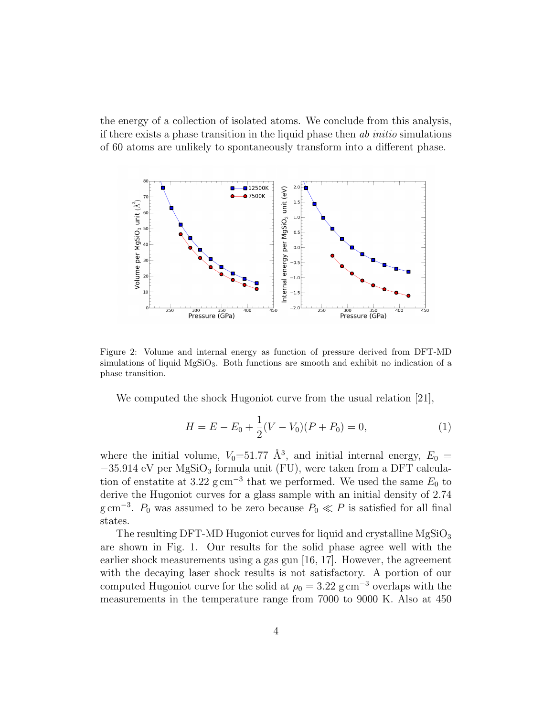the energy of a collection of isolated atoms. We conclude from this analysis, if there exists a phase transition in the liquid phase then ab initio simulations of 60 atoms are unlikely to spontaneously transform into a different phase.



Figure 2: Volume and internal energy as function of pressure derived from DFT-MD simulations of liquid MgSiO<sub>3</sub>. Both functions are smooth and exhibit no indication of a phase transition.

We computed the shock Hugoniot curve from the usual relation [21],

$$
H = E - E_0 + \frac{1}{2}(V - V_0)(P + P_0) = 0,
$$
\n(1)

where the initial volume,  $V_0 = 51.77 \text{ Å}^3$ , and initial internal energy,  $E_0 =$  $-35.914$  eV per MgSiO<sub>3</sub> formula unit (FU), were taken from a DFT calculation of enstatite at 3.22 g cm<sup>-3</sup> that we performed. We used the same  $E_0$  to derive the Hugoniot curves for a glass sample with an initial density of 2.74  $\text{g cm}^{-3}$ .  $P_0$  was assumed to be zero because  $P_0 \ll P$  is satisfied for all final states.

The resulting DFT-MD Hugoniot curves for liquid and crystalline  $MgSiO<sub>3</sub>$ are shown in Fig. 1. Our results for the solid phase agree well with the earlier shock measurements using a gas gun [16, 17]. However, the agreement with the decaying laser shock results is not satisfactory. A portion of our computed Hugoniot curve for the solid at  $\rho_0 = 3.22$  g cm<sup>-3</sup> overlaps with the measurements in the temperature range from 7000 to 9000 K. Also at 450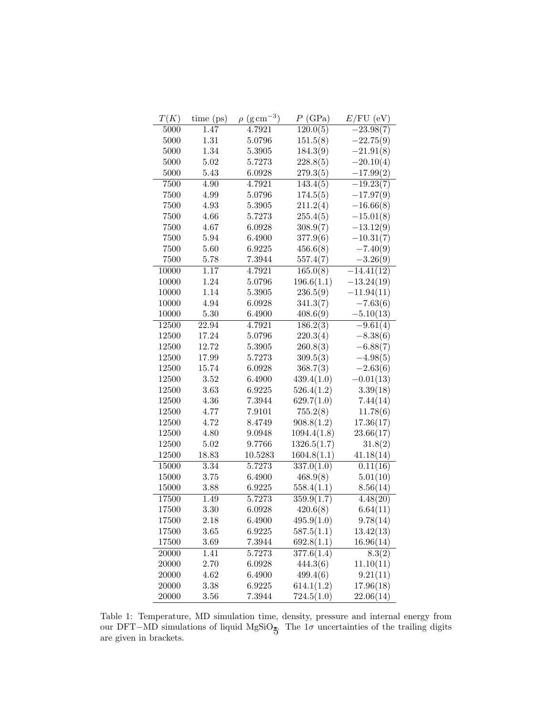| T(K)  | time (ps) | $\rho$ (g cm <sup>-3</sup> ) | $P$ (GPa)   | $E/FU$ (eV)                    |
|-------|-----------|------------------------------|-------------|--------------------------------|
| 5000  | 1.47      | 4.7921                       | 120.0(5)    | 23.98(7)                       |
| 5000  | 1.31      | 5.0796                       | 151.5(8)    | $-22.75(9)$                    |
| 5000  | 1.34      | 5.3905                       | 184.3(9)    | $-21.91(8)$                    |
| 5000  | 5.02      | 5.7273                       | 228.8(5)    | $-20.10(4)$                    |
| 5000  | 5.43      | 6.0928                       | 279.3(5)    | $-17.99(2)$                    |
| 7500  | 4.90      | 4.7921                       | 143.4(5)    | $-19.23(7)$                    |
| 7500  | 4.99      | 5.0796                       | 174.5(5)    | $-17.97(9)$                    |
| 7500  | 4.93      | 5.3905                       | 211.2(4)    | $-16.66(8)$                    |
| 7500  | 4.66      | 5.7273                       | 255.4(5)    | $-15.01(8)$                    |
| 7500  | 4.67      | 6.0928                       | 308.9(7)    | $-13.12(9)$                    |
| 7500  | 5.94      | 6.4900                       | 377.9(6)    | $-10.31(7)$                    |
| 7500  | 5.60      | 6.9225                       | 456.6(8)    | $-7.40(9)$                     |
| 7500  | 5.78      | 7.3944                       | 557.4(7)    | $-3.26(9)$                     |
| 10000 | 1.17      | 4.7921                       | 165.0(8)    | $-14.41(12)$                   |
| 10000 | 1.24      | 5.0796                       | 196.6(1.1)  | $-13.24(19)$                   |
| 10000 | 1.14      | 5.3905                       | 236.5(9)    | $-11.94(11)$                   |
| 10000 | 4.94      | 6.0928                       | 341.3(7)    | $-7.63(6)$                     |
| 10000 | 5.30      | 6.4900                       | 408.6(9)    | $-5.10(13)$                    |
| 12500 | 22.94     | 4.7921                       | 186.2(3)    | $-9.61(4)$                     |
| 12500 | 17.24     | 5.0796                       | 220.3(4)    | $-8.38(6)$                     |
| 12500 | 12.72     | 5.3905                       | 260.8(3)    | $-6.88(7)$                     |
| 12500 | 17.99     | 5.7273                       | 309.5(3)    | 4.98(5)                        |
| 12500 | 15.74     | 6.0928                       | 368.7(3)    | $-2.63(6)$                     |
| 12500 | 3.52      | 6.4900                       | 439.4(1.0)  | $-0.01(13)$                    |
| 12500 | 3.63      | 6.9225                       | 526.4(1.2)  | 3.39(18)                       |
| 12500 | 4.36      | 7.3944                       | 629.7(1.0)  | 7.44(14)                       |
| 12500 | 4.77      | 7.9101                       | 755.2(8)    | 11.78(6)                       |
| 12500 | 4.72      | 8.4749                       | 908.8(1.2)  | 17.36(17)                      |
| 12500 | 4.80      | 9.0948                       | 1094.4(1.8) | 23.66(17)                      |
| 12500 | 5.02      | 9.7766                       | 1326.5(1.7) | 31.8(2)                        |
| 12500 | 18.83     | 10.5283                      | 1604.8(1.1) | 41.18(14)                      |
| 15000 | 3.34      | 5.7273                       | 337.0(1.0)  | 0.11(16)                       |
| 15000 | 3.75      | 6.4900                       | 468.9(8)    | 5.01(10)                       |
| 15000 | 3.88      | 6.9225                       | 558.4(1.1)  | 8.56(14)                       |
| 17500 | 1.49      | 5.7273                       | 359.9(1.7)  | 4.48(20)                       |
| 17500 | 3.30      | 6.0928                       | 420.6(8)    | 6.64(11)                       |
| 17500 | 2.18      | 6.4900                       | 495.9(1.0)  | 9.78(14)                       |
| 17500 | 3.65      | 6.9225                       | 587.5(1.1)  | 13.42(13)                      |
| 17500 | 3.69      | 7.3944                       | 692.8(1.1)  | 16.96(14)                      |
| 20000 | 1.41      | 5.7273                       | 377.6(1.4)  | $\overline{8.3}(\overline{2})$ |
| 20000 | 2.70      | 6.0928                       | 444.3(6)    | 11.10(11)                      |
| 20000 | 4.62      | 6.4900                       | 499.4(6)    | 9.21(11)                       |
| 20000 | 3.38      | 6.9225                       | 614.1(1.2)  | 17.96(18)                      |
| 20000 | 3.56      | 7.3944                       | 724.5(1.0)  | 22.06(14)                      |

Table 1: Temperature, MD simulation time, density, pressure and internal energy from our DFT−MD simulations of liquid MgSiO<sub>3</sub>. The 1σ uncertainties of the trailing digits are given in brackets.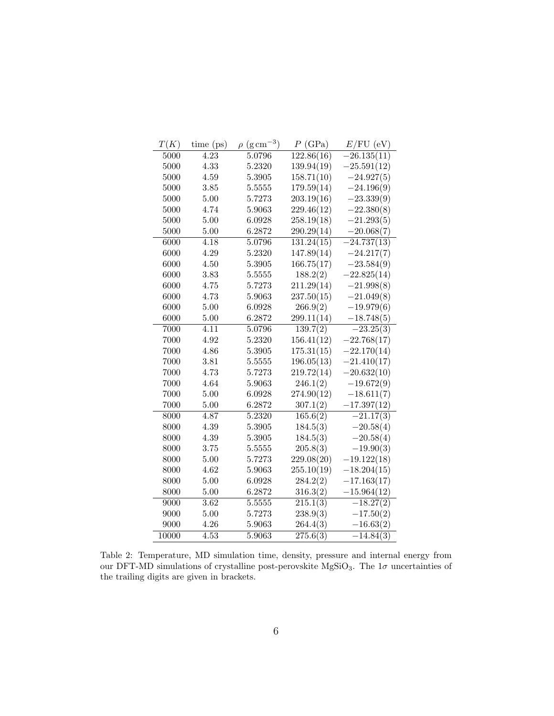| T(K)  | time (ps) | $\rho$ (g cm <sup>-3</sup> ) | $P$ (GPa)  | $E/FU$ (eV)   |
|-------|-----------|------------------------------|------------|---------------|
| 5000  | 4.23      | 5.0796                       | 122.86(16) | $-26.135(11)$ |
| 5000  | 4.33      | 5.2320                       | 139.94(19) | $-25.591(12)$ |
| 5000  | 4.59      | 5.3905                       | 158.71(10) | $-24.927(5)$  |
| 5000  | 3.85      | 5.5555                       | 179.59(14) | $-24.196(9)$  |
| 5000  | 5.00      | 5.7273                       | 203.19(16) | $-23.339(9)$  |
| 5000  | 4.74      | 5.9063                       | 229.46(12) | $-22.380(8)$  |
| 5000  | 5.00      | 6.0928                       | 258.19(18) | $-21.293(5)$  |
| 5000  | 5.00      | 6.2872                       | 290.29(14) | $-20.068(7)$  |
| 6000  | 4.18      | 5.0796                       | 131.24(15) | $-24.737(13)$ |
| 6000  | 4.29      | 5.2320                       | 147.89(14) | $-24.217(7)$  |
| 6000  | 4.50      | 5.3905                       | 166.75(17) | $-23.584(9)$  |
| 6000  | 3.83      | 5.5555                       | 188.2(2)   | $-22.825(14)$ |
| 6000  | 4.75      | 5.7273                       | 211.29(14) | $-21.998(8)$  |
| 6000  | 4.73      | 5.9063                       | 237.50(15) | $-21.049(8)$  |
| 6000  | 5.00      | 6.0928                       | 266.9(2)   | $-19.979(6)$  |
| 6000  | 5.00      | 6.2872                       | 299.11(14) | $-18.748(5)$  |
| 7000  | 4.11      | 5.0796                       | 139.7(2)   | $-23.25(3)$   |
| 7000  | 4.92      | 5.2320                       | 156.41(12) | $-22.768(17)$ |
| 7000  | 4.86      | 5.3905                       | 175.31(15) | $-22.170(14)$ |
| 7000  | 3.81      | 5.5555                       | 196.05(13) | $-21.410(17)$ |
| 7000  | 4.73      | 5.7273                       | 219.72(14) | $-20.632(10)$ |
| 7000  | 4.64      | 5.9063                       | 246.1(2)   | $-19.672(9)$  |
| 7000  | 5.00      | 6.0928                       | 274.90(12) | $-18.611(7)$  |
| 7000  | 5.00      | 6.2872                       | 307.1(2)   | $-17.397(12)$ |
| 8000  | 4.87      | 5.2320                       | 165.6(2)   | $-21.17(3)$   |
| 8000  | 4.39      | 5.3905                       | 184.5(3)   | $-20.58(4)$   |
| 8000  | 4.39      | 5.3905                       | 184.5(3)   | $-20.58(4)$   |
| 8000  | 3.75      | 5.5555                       | 205.8(3)   | $-19.90(3)$   |
| 8000  | 5.00      | 5.7273                       | 229.08(20) | $-19.122(18)$ |
| 8000  | 4.62      | 5.9063                       | 255.10(19) | $-18.204(15)$ |
| 8000  | 5.00      | 6.0928                       | 284.2(2)   | $-17.163(17)$ |
| 8000  | 5.00      | 6.2872                       | 316.3(2)   | $-15.964(12)$ |
| 9000  | 3.62      | 5.5555                       | 215.1(3)   | $-18.27(2)$   |
| 9000  | 5.00      | 5.7273                       | 238.9(3)   | $-17.50(2)$   |
| 9000  | 4.26      | 5.9063                       | 264.4(3)   | $-16.63(2)$   |
| 10000 | 4.53      | 5.9063                       | 275.6(3)   | $-14.84(3)$   |

Table 2: Temperature, MD simulation time, density, pressure and internal energy from our DFT-MD simulations of crystalline post-perovskite MgSiO<sub>3</sub>. The  $1\sigma$  uncertainties of the trailing digits are given in brackets.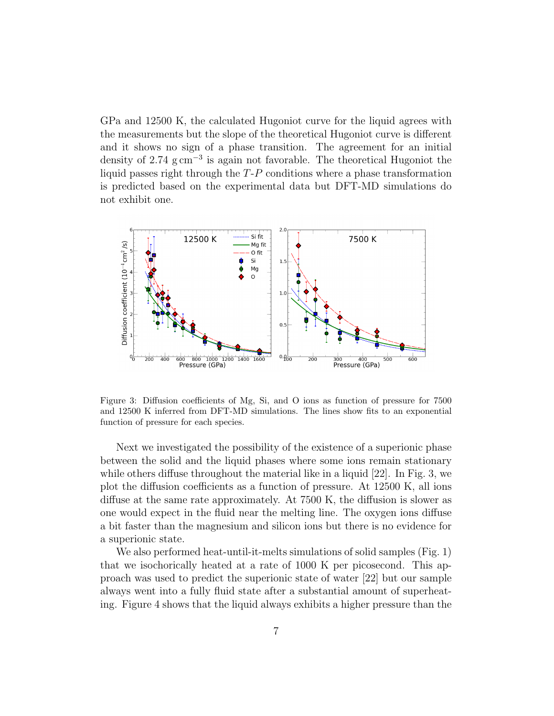GPa and 12500 K, the calculated Hugoniot curve for the liquid agrees with the measurements but the slope of the theoretical Hugoniot curve is different and it shows no sign of a phase transition. The agreement for an initial density of 2.74 g cm<sup>-3</sup> is again not favorable. The theoretical Hugoniot the liquid passes right through the  $T-P$  conditions where a phase transformation is predicted based on the experimental data but DFT-MD simulations do not exhibit one.



Figure 3: Diffusion coefficients of Mg, Si, and O ions as function of pressure for 7500 and 12500 K inferred from DFT-MD simulations. The lines show fits to an exponential function of pressure for each species.

Next we investigated the possibility of the existence of a superionic phase between the solid and the liquid phases where some ions remain stationary while others diffuse throughout the material like in a liquid [22]. In Fig. 3, we plot the diffusion coefficients as a function of pressure. At 12500 K, all ions diffuse at the same rate approximately. At 7500 K, the diffusion is slower as one would expect in the fluid near the melting line. The oxygen ions diffuse a bit faster than the magnesium and silicon ions but there is no evidence for a superionic state.

We also performed heat-until-it-melts simulations of solid samples (Fig. 1) that we isochorically heated at a rate of 1000 K per picosecond. This approach was used to predict the superionic state of water [22] but our sample always went into a fully fluid state after a substantial amount of superheating. Figure 4 shows that the liquid always exhibits a higher pressure than the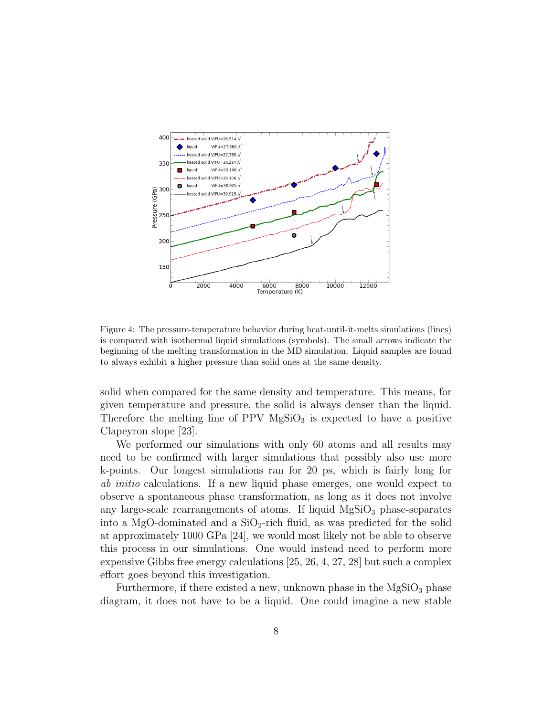

Figure 4: The pressure-temperature behavior during heat-until-it-melts simulations (lines) is compared with isothermal liquid simulations (symbols). The small arrows indicate the beginning of the melting transformation in the MD simulation. Liquid samples are found to always exhibit a higher pressure than solid ones at the same density.

solid when compared for the same density and temperature. This means, for given temperature and pressure, the solid is always denser than the liquid. Therefore the melting line of PPV  $MgSiO<sub>3</sub>$  is expected to have a positive Clapeyron slope [23].

We performed our simulations with only 60 atoms and all results may need to be confirmed with larger simulations that possibly also use more k-points. Our longest simulations ran for 20 ps, which is fairly long for ab initio calculations. If a new liquid phase emerges, one would expect to observe a spontaneous phase transformation, as long as it does not involve any large-scale rearrangements of atoms. If liquid  $MgSiO<sub>3</sub>$  phase-separates into a MgO-dominated and a  $SiO<sub>2</sub>$ -rich fluid, as was predicted for the solid at approximately 1000 GPa [24], we would most likely not be able to observe this process in our simulations. One would instead need to perform more expensive Gibbs free energy calculations [25, 26, 4, 27, 28] but such a complex effort goes beyond this investigation.

Furthermore, if there existed a new, unknown phase in the  $MgSiO<sub>3</sub>$  phase diagram, it does not have to be a liquid. One could imagine a new stable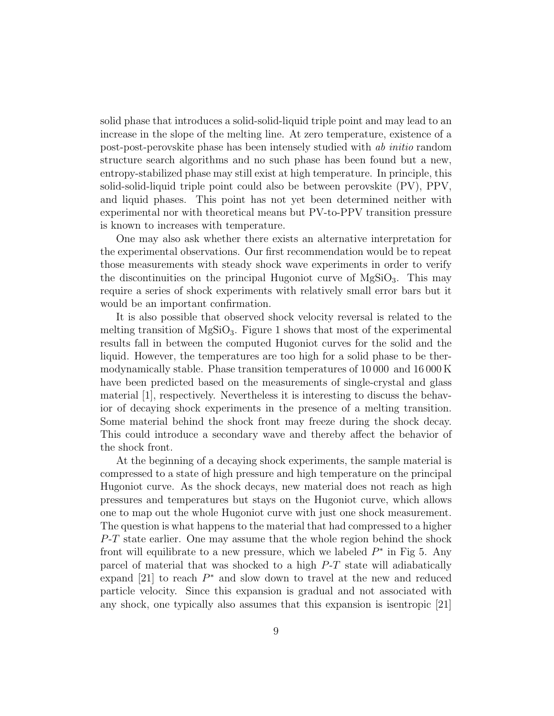solid phase that introduces a solid-solid-liquid triple point and may lead to an increase in the slope of the melting line. At zero temperature, existence of a post-post-perovskite phase has been intensely studied with ab initio random structure search algorithms and no such phase has been found but a new, entropy-stabilized phase may still exist at high temperature. In principle, this solid-solid-liquid triple point could also be between perovskite (PV), PPV, and liquid phases. This point has not yet been determined neither with experimental nor with theoretical means but PV-to-PPV transition pressure is known to increases with temperature.

One may also ask whether there exists an alternative interpretation for the experimental observations. Our first recommendation would be to repeat those measurements with steady shock wave experiments in order to verify the discontinuities on the principal Hugoniot curve of  $MgSiO<sub>3</sub>$ . This may require a series of shock experiments with relatively small error bars but it would be an important confirmation.

It is also possible that observed shock velocity reversal is related to the melting transition of  $MgSiO<sub>3</sub>$ . Figure 1 shows that most of the experimental results fall in between the computed Hugoniot curves for the solid and the liquid. However, the temperatures are too high for a solid phase to be thermodynamically stable. Phase transition temperatures of 10 000 and 16 000 K have been predicted based on the measurements of single-crystal and glass material [1], respectively. Nevertheless it is interesting to discuss the behavior of decaying shock experiments in the presence of a melting transition. Some material behind the shock front may freeze during the shock decay. This could introduce a secondary wave and thereby affect the behavior of the shock front.

At the beginning of a decaying shock experiments, the sample material is compressed to a state of high pressure and high temperature on the principal Hugoniot curve. As the shock decays, new material does not reach as high pressures and temperatures but stays on the Hugoniot curve, which allows one to map out the whole Hugoniot curve with just one shock measurement. The question is what happens to the material that had compressed to a higher P-T state earlier. One may assume that the whole region behind the shock front will equilibrate to a new pressure, which we labeled  $P^*$  in Fig 5. Any parcel of material that was shocked to a high P-T state will adiabatically expand [21] to reach  $P^*$  and slow down to travel at the new and reduced particle velocity. Since this expansion is gradual and not associated with any shock, one typically also assumes that this expansion is isentropic [21]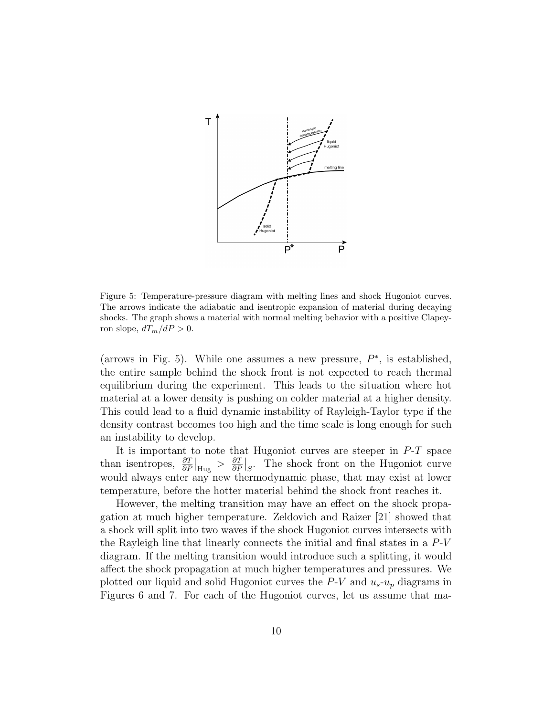

Figure 5: Temperature-pressure diagram with melting lines and shock Hugoniot curves. The arrows indicate the adiabatic and isentropic expansion of material during decaying shocks. The graph shows a material with normal melting behavior with a positive Clapeyron slope,  $dT_m/dP > 0$ .

(arrows in Fig. 5). While one assumes a new pressure,  $P^*$ , is established, the entire sample behind the shock front is not expected to reach thermal equilibrium during the experiment. This leads to the situation where hot material at a lower density is pushing on colder material at a higher density. This could lead to a fluid dynamic instability of Rayleigh-Taylor type if the density contrast becomes too high and the time scale is long enough for such an instability to develop.

It is important to note that Hugoniot curves are steeper in  $P-T$  space than isentropes,  $\frac{\partial T}{\partial P}\Big|_{\text{Hug}} > \frac{\partial T}{\partial P}$  $\frac{\partial T}{\partial P}|_S$ . The shock front on the Hugoniot curve would always enter any new thermodynamic phase, that may exist at lower temperature, before the hotter material behind the shock front reaches it.

However, the melting transition may have an effect on the shock propagation at much higher temperature. Zeldovich and Raizer [21] showed that a shock will split into two waves if the shock Hugoniot curves intersects with the Rayleigh line that linearly connects the initial and final states in a P-V diagram. If the melting transition would introduce such a splitting, it would affect the shock propagation at much higher temperatures and pressures. We plotted our liquid and solid Hugoniot curves the  $P-V$  and  $u_s-u_p$  diagrams in Figures 6 and 7. For each of the Hugoniot curves, let us assume that ma-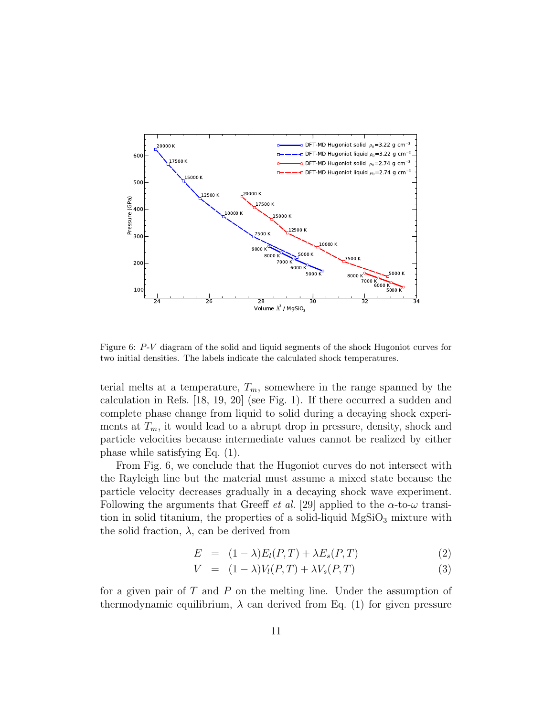

Figure 6: P-V diagram of the solid and liquid segments of the shock Hugoniot curves for two initial densities. The labels indicate the calculated shock temperatures.

terial melts at a temperature,  $T_m$ , somewhere in the range spanned by the calculation in Refs. [18, 19, 20] (see Fig. 1). If there occurred a sudden and complete phase change from liquid to solid during a decaying shock experiments at  $T_m$ , it would lead to a abrupt drop in pressure, density, shock and particle velocities because intermediate values cannot be realized by either phase while satisfying Eq. (1).

From Fig. 6, we conclude that the Hugoniot curves do not intersect with the Rayleigh line but the material must assume a mixed state because the particle velocity decreases gradually in a decaying shock wave experiment. Following the arguments that Greeff *et al.* [29] applied to the  $\alpha$ -to- $\omega$  transition in solid titanium, the properties of a solid-liquid  $MgSiO<sub>3</sub>$  mixture with the solid fraction,  $\lambda$ , can be derived from

$$
E = (1 - \lambda)E_l(P, T) + \lambda E_s(P, T) \tag{2}
$$

$$
V = (1 - \lambda)V_l(P, T) + \lambda V_s(P, T) \tag{3}
$$

for a given pair of  $T$  and  $P$  on the melting line. Under the assumption of thermodynamic equilibrium,  $\lambda$  can derived from Eq. (1) for given pressure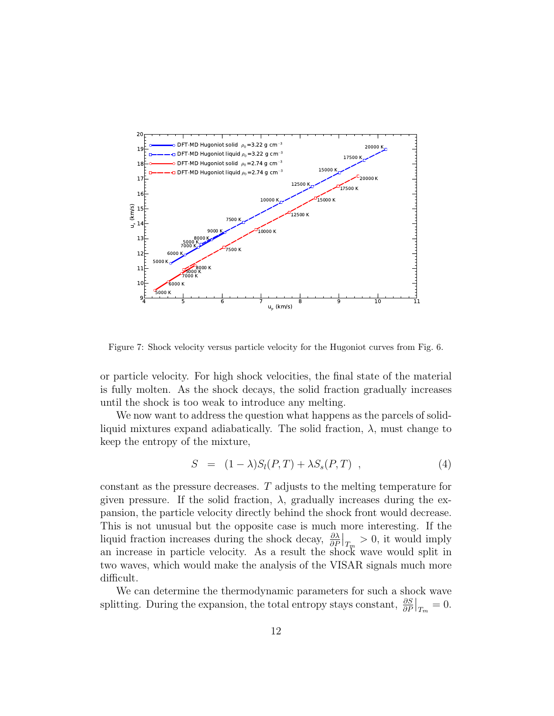

Figure 7: Shock velocity versus particle velocity for the Hugoniot curves from Fig. 6.

or particle velocity. For high shock velocities, the final state of the material is fully molten. As the shock decays, the solid fraction gradually increases until the shock is too weak to introduce any melting.

We now want to address the question what happens as the parcels of solidliquid mixtures expand adiabatically. The solid fraction,  $\lambda$ , must change to keep the entropy of the mixture,

$$
S = (1 - \lambda)S_l(P, T) + \lambda S_s(P, T) , \qquad (4)
$$

constant as the pressure decreases. T adjusts to the melting temperature for given pressure. If the solid fraction,  $\lambda$ , gradually increases during the expansion, the particle velocity directly behind the shock front would decrease. This is not unusual but the opposite case is much more interesting. If the liquid fraction increases during the shock decay,  $\frac{\partial \lambda}{\partial P}\big|_{T_m} > 0$ , it would imply an increase in particle velocity. As a result the shock wave would split in two waves, which would make the analysis of the VISAR signals much more difficult.

We can determine the thermodynamic parameters for such a shock wave splitting. During the expansion, the total entropy stays constant,  $\frac{\partial S}{\partial P}|_{T_m} = 0$ .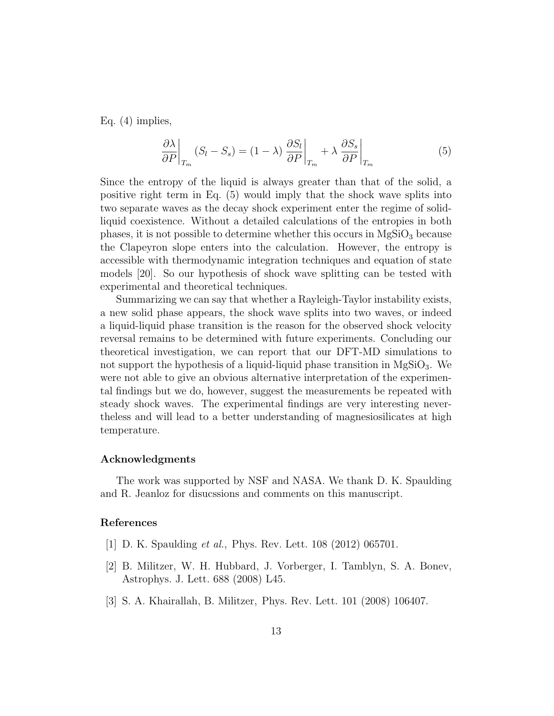Eq. (4) implies,

$$
\left. \frac{\partial \lambda}{\partial P} \right|_{T_m} (S_l - S_s) = (1 - \lambda) \left. \frac{\partial S_l}{\partial P} \right|_{T_m} + \lambda \left. \frac{\partial S_s}{\partial P} \right|_{T_m} \tag{5}
$$

Since the entropy of the liquid is always greater than that of the solid, a positive right term in Eq. (5) would imply that the shock wave splits into two separate waves as the decay shock experiment enter the regime of solidliquid coexistence. Without a detailed calculations of the entropies in both phases, it is not possible to determine whether this occurs in  $MgSiO<sub>3</sub>$  because the Clapeyron slope enters into the calculation. However, the entropy is accessible with thermodynamic integration techniques and equation of state models [20]. So our hypothesis of shock wave splitting can be tested with experimental and theoretical techniques.

Summarizing we can say that whether a Rayleigh-Taylor instability exists, a new solid phase appears, the shock wave splits into two waves, or indeed a liquid-liquid phase transition is the reason for the observed shock velocity reversal remains to be determined with future experiments. Concluding our theoretical investigation, we can report that our DFT-MD simulations to not support the hypothesis of a liquid-liquid phase transition in  $MgSiO<sub>3</sub>$ . We were not able to give an obvious alternative interpretation of the experimental findings but we do, however, suggest the measurements be repeated with steady shock waves. The experimental findings are very interesting nevertheless and will lead to a better understanding of magnesiosilicates at high temperature.

#### Acknowledgments

The work was supported by NSF and NASA. We thank D. K. Spaulding and R. Jeanloz for disucssions and comments on this manuscript.

## References

- [1] D. K. Spaulding et al., Phys. Rev. Lett. 108 (2012) 065701.
- [2] B. Militzer, W. H. Hubbard, J. Vorberger, I. Tamblyn, S. A. Bonev, Astrophys. J. Lett. 688 (2008) L45.
- [3] S. A. Khairallah, B. Militzer, Phys. Rev. Lett. 101 (2008) 106407.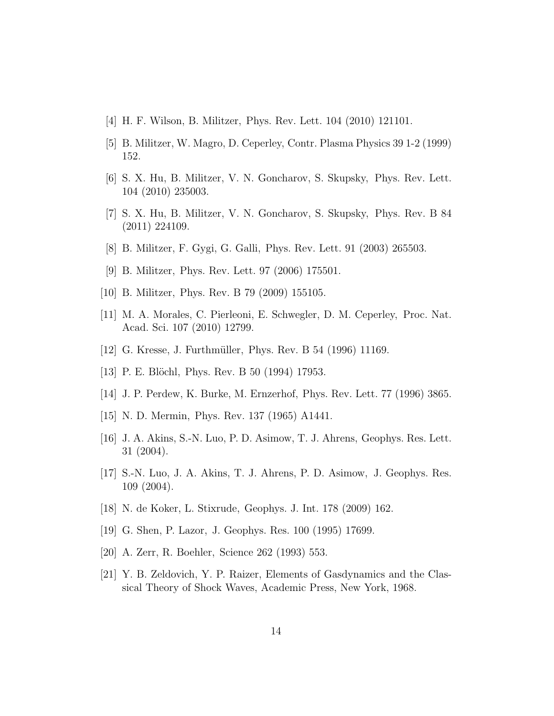- [4] H. F. Wilson, B. Militzer, Phys. Rev. Lett. 104 (2010) 121101.
- [5] B. Militzer, W. Magro, D. Ceperley, Contr. Plasma Physics 39 1-2 (1999) 152.
- [6] S. X. Hu, B. Militzer, V. N. Goncharov, S. Skupsky, Phys. Rev. Lett. 104 (2010) 235003.
- [7] S. X. Hu, B. Militzer, V. N. Goncharov, S. Skupsky, Phys. Rev. B 84 (2011) 224109.
- [8] B. Militzer, F. Gygi, G. Galli, Phys. Rev. Lett. 91 (2003) 265503.
- [9] B. Militzer, Phys. Rev. Lett. 97 (2006) 175501.
- [10] B. Militzer, Phys. Rev. B 79 (2009) 155105.
- [11] M. A. Morales, C. Pierleoni, E. Schwegler, D. M. Ceperley, Proc. Nat. Acad. Sci. 107 (2010) 12799.
- [12] G. Kresse, J. Furthmüller, Phys. Rev. B 54 (1996) 11169.
- [13] P. E. Blöchl, Phys. Rev. B 50 (1994) 17953.
- [14] J. P. Perdew, K. Burke, M. Ernzerhof, Phys. Rev. Lett. 77 (1996) 3865.
- [15] N. D. Mermin, Phys. Rev. 137 (1965) A1441.
- [16] J. A. Akins, S.-N. Luo, P. D. Asimow, T. J. Ahrens, Geophys. Res. Lett. 31 (2004).
- [17] S.-N. Luo, J. A. Akins, T. J. Ahrens, P. D. Asimow, J. Geophys. Res. 109 (2004).
- [18] N. de Koker, L. Stixrude, Geophys. J. Int. 178 (2009) 162.
- [19] G. Shen, P. Lazor, J. Geophys. Res. 100 (1995) 17699.
- [20] A. Zerr, R. Boehler, Science 262 (1993) 553.
- [21] Y. B. Zeldovich, Y. P. Raizer, Elements of Gasdynamics and the Classical Theory of Shock Waves, Academic Press, New York, 1968.